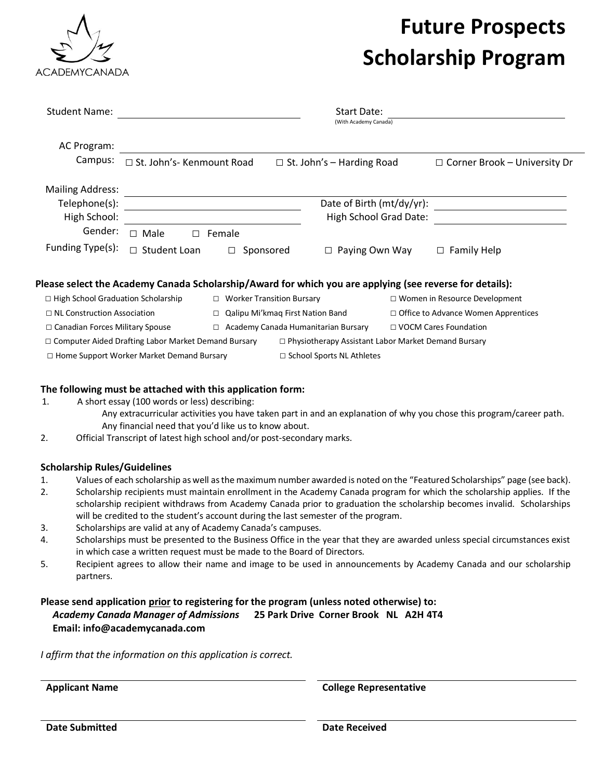

# **Future Prospects Scholarship Program**

| <b>Student Name:</b>                             |                                                            |                                       |                                     | Start Date:<br>(With Academy Canada)                       |                                            |                                                                                                          |  |
|--------------------------------------------------|------------------------------------------------------------|---------------------------------------|-------------------------------------|------------------------------------------------------------|--------------------------------------------|----------------------------------------------------------------------------------------------------------|--|
| AC Program:                                      |                                                            |                                       |                                     |                                                            |                                            |                                                                                                          |  |
| Campus:                                          | $\Box$ St. John's- Kenmount Road                           |                                       |                                     | $\Box$ St. John's - Harding Road                           |                                            | $\Box$ Corner Brook - University Dr                                                                      |  |
| <b>Mailing Address:</b>                          |                                                            |                                       |                                     |                                                            |                                            |                                                                                                          |  |
| Telephone(s):                                    |                                                            |                                       |                                     | Date of Birth (mt/dy/yr):                                  |                                            |                                                                                                          |  |
| High School:                                     |                                                            |                                       |                                     | High School Grad Date:                                     |                                            |                                                                                                          |  |
| Gender:                                          | $\Box$ Male<br>П                                           | Female                                |                                     |                                                            |                                            |                                                                                                          |  |
| Funding Type(s):                                 | Student Loan                                               |                                       | Sponsored                           | Paying Own Way                                             |                                            | <b>Family Help</b><br>$\Box$                                                                             |  |
|                                                  |                                                            |                                       |                                     |                                                            |                                            | Please select the Academy Canada Scholarship/Award for which you are applying (see reverse for details): |  |
| $\Box$ High School Graduation Scholarship        |                                                            | $\Box$ Worker Transition Bursary      |                                     |                                                            | $\Box$ Women in Resource Development       |                                                                                                          |  |
| $\Box$ NL Construction Association               |                                                            | Qalipu Mi'kmag First Nation Band<br>□ |                                     |                                                            | $\Box$ Office to Advance Women Apprentices |                                                                                                          |  |
| □ Canadian Forces Military Spouse                |                                                            | □                                     | Academy Canada Humanitarian Bursary |                                                            |                                            | □ VOCM Cares Foundation                                                                                  |  |
|                                                  | $\Box$ Computer Aided Drafting Labor Market Demand Bursary |                                       |                                     | $\Box$ Physiotherapy Assistant Labor Market Demand Bursary |                                            |                                                                                                          |  |
| $\Box$ Home Support Worker Market Demand Bursary |                                                            |                                       |                                     | $\Box$ School Sports NL Athletes                           |                                            |                                                                                                          |  |

### **The following must be attached with this application form:**

- 1. A short essay (100 words or less) describing:
	- Any extracurricular activities you have taken part in and an explanation of why you chose this program/career path. Any financial need that you'd like us to know about.
- 2. Official Transcript of latest high school and/or post-secondary marks.

### **Scholarship Rules/Guidelines**

- 1. Values of each scholarship as well as the maximum number awarded is noted on the "Featured Scholarships" page (see back).
- 2. Scholarship recipients must maintain enrollment in the Academy Canada program for which the scholarship applies. If the scholarship recipient withdraws from Academy Canada prior to graduation the scholarship becomes invalid. Scholarships will be credited to the student's account during the last semester of the program.
- 3. Scholarships are valid at any of Academy Canada's campuses.
- 4. Scholarships must be presented to the Business Office in the year that they are awarded unless special circumstances exist in which case a written request must be made to the Board of Directors.
- 5. Recipient agrees to allow their name and image to be used in announcements by Academy Canada and our scholarship partners.

## **Please send application prior to registering for the program (unless noted otherwise) to:**  *Academy Canada Manager of Admissions* **25 Park Drive Corner Brook NL A2H 4T4 Email: info@academycanada.com**

*I affirm that the information on this application is correct.*

**Applicant Name College Representative**

**Date Submitted Date Received**